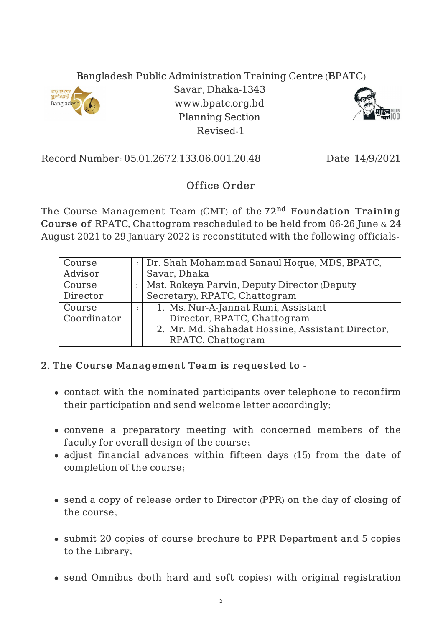## Bangladesh Public Administration Training Centre (BPATC)



Savar, Dhaka-1343 www.bpatc.org.bd Planning Section Revised-1



Record Number: 05.01.2672.133.06.001.20.48 Date: 14/9/2021

## Office Order

The Course Management Team (CMT) of the 72<sup>nd</sup> Foundation Training Course of RPATC, Chattogram rescheduled to be held from 06-26 June & 24 August 2021 to 29 January 2022 is reconstituted with the following officials-

| Course      | : Dr. Shah Mohammad Sanaul Hoque, MDS, BPATC,    |
|-------------|--------------------------------------------------|
| Advisor     | Savar, Dhaka                                     |
| Course      | Mst. Rokeya Parvin, Deputy Director (Deputy      |
| Director    | Secretary), RPATC, Chattogram                    |
| Course      | 1. Ms. Nur-A-Jannat Rumi, Assistant              |
| Coordinator | Director, RPATC, Chattogram                      |
|             | 2. Mr. Md. Shahadat Hossine, Assistant Director, |
|             | RPATC, Chattogram                                |

## 2. The Course Management Team is requested to -

- contact with the nominated participants over telephone to reconfirm their participation and send welcome letter accordingly;
- convene a preparatory meeting with concerned members of the faculty for overall design of the course;
- adjust financial advances within fifteen days (15) from the date of completion of the course;
- send a copy of release order to Director (PPR) on the day of closing of the course;
- submit 20 copies of course brochure to PPR Department and 5 copies to the Library;
- send Omnibus (both hard and soft copies) with original registration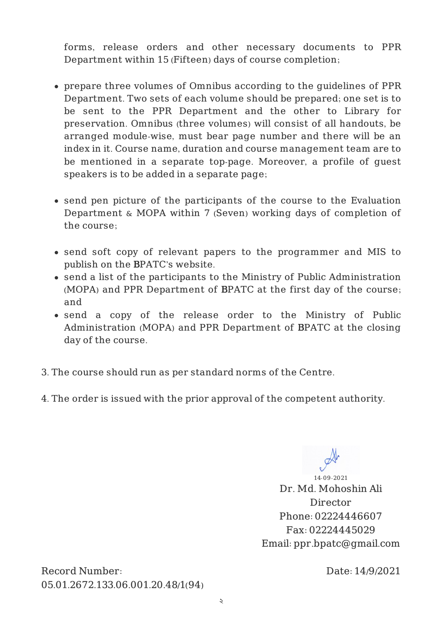forms, release orders and other necessary documents to PPR Department within 15 (Fifteen) days of course completion;

- prepare three volumes of Omnibus according to the guidelines of PPR Department. Two sets of each volume should be prepared; one set is to be sent to the PPR Department and the other to Library for preservation. Omnibus (three volumes) will consist of all handouts, be arranged module-wise, must bear page number and there will be an index in it. Course name, duration and course management team are to be mentioned in a separate top-page. Moreover, a profile of guest speakers is to be added in a separate page;
- send pen picture of the participants of the course to the Evaluation Department & MOPA within 7 (Seven) working days of completion of the course;
- send soft copy of relevant papers to the programmer and MIS to publish on the BPATC's website.
- send a list of the participants to the Ministry of Public Administration (MOPA) and PPR Department of BPATC at the first day of the course; and
- send a copy of the release order to the Ministry of Public Administration (MOPA) and PPR Department of BPATC at the closing day of the course.
- 3. The course should run as per standard norms of the Centre.
- 4. The order is issued with the prior approval of the competent authority.

14-09-2021 Dr. Md. Mohoshin Ali Director Phone: 02224446607 Fax: 02224445029 Email: ppr.bpatc@gmail.com

Record Number: 05.01.2672.133.06.001.20.48/1(94) Date: 14/9/2021